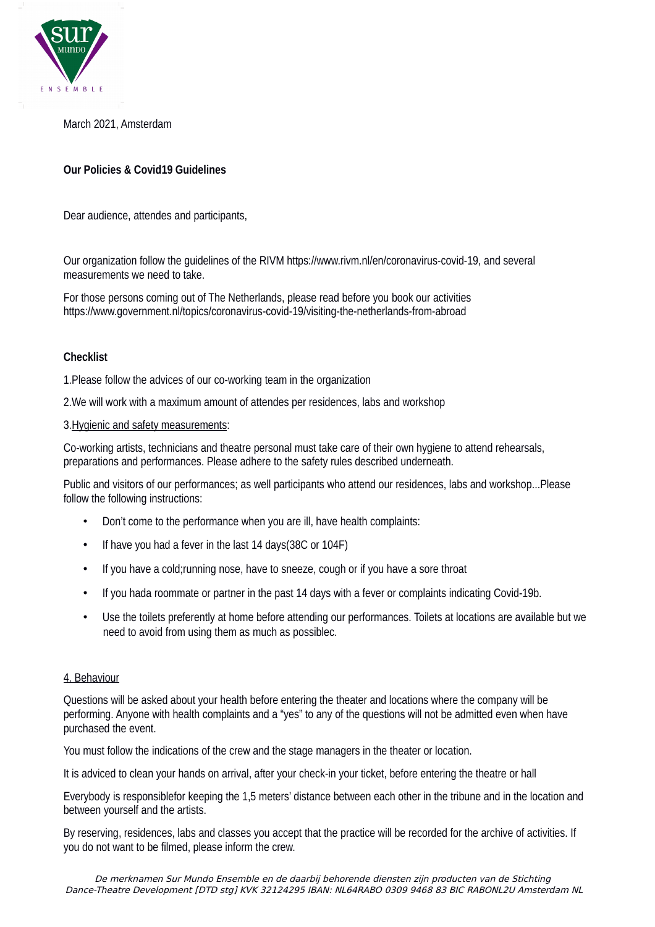

March 2021, Amsterdam

# **Our Policies & Covid19 Guidelines**

Dear audience, attendes and participants,

Our organization follow the guidelines of the RIVM https://www.rivm.nl/en/coronavirus-covid-19, and several measurements we need to take.

For those persons coming out of The Netherlands, please read before you book our activities https://www.government.nl/topics/coronavirus-covid-19/visiting-the-netherlands-from-abroad

#### **Checklist**

1.Please follow the advices of our co-working team in the organization

2.We will work with a maximum amount of attendes per residences, labs and workshop

#### 3.Hygienic and safety measurements:

Co-working artists, technicians and theatre personal must take care of their own hygiene to attend rehearsals, preparations and performances. Please adhere to the safety rules described underneath.

Public and visitors of our performances; as well participants who attend our residences, labs and workshop...Please follow the following instructions:

- Don't come to the performance when you are ill, have health complaints:
- If have you had a fever in the last 14 days(38C or 104F)
- If you have a cold: running nose, have to sneeze, cough or if you have a sore throat
- If you hada roommate or partner in the past 14 days with a fever or complaints indicating Covid-19b.
- Use the toilets preferently at home before attending our performances. Toilets at locations are available but we need to avoid from using them as much as possiblec.

### 4. Behaviour

Questions will be asked about your health before entering the theater and locations where the company will be performing. Anyone with health complaints and a "yes" to any of the questions will not be admitted even when have purchased the event.

You must follow the indications of the crew and the stage managers in the theater or location.

It is adviced to clean your hands on arrival, after your check-in your ticket, before entering the theatre or hall

Everybody is responsiblefor keeping the 1,5 meters' distance between each other in the tribune and in the location and between yourself and the artists.

By reserving, residences, labs and classes you accept that the practice will be recorded for the archive of activities. If you do not want to be filmed, please inform the crew.